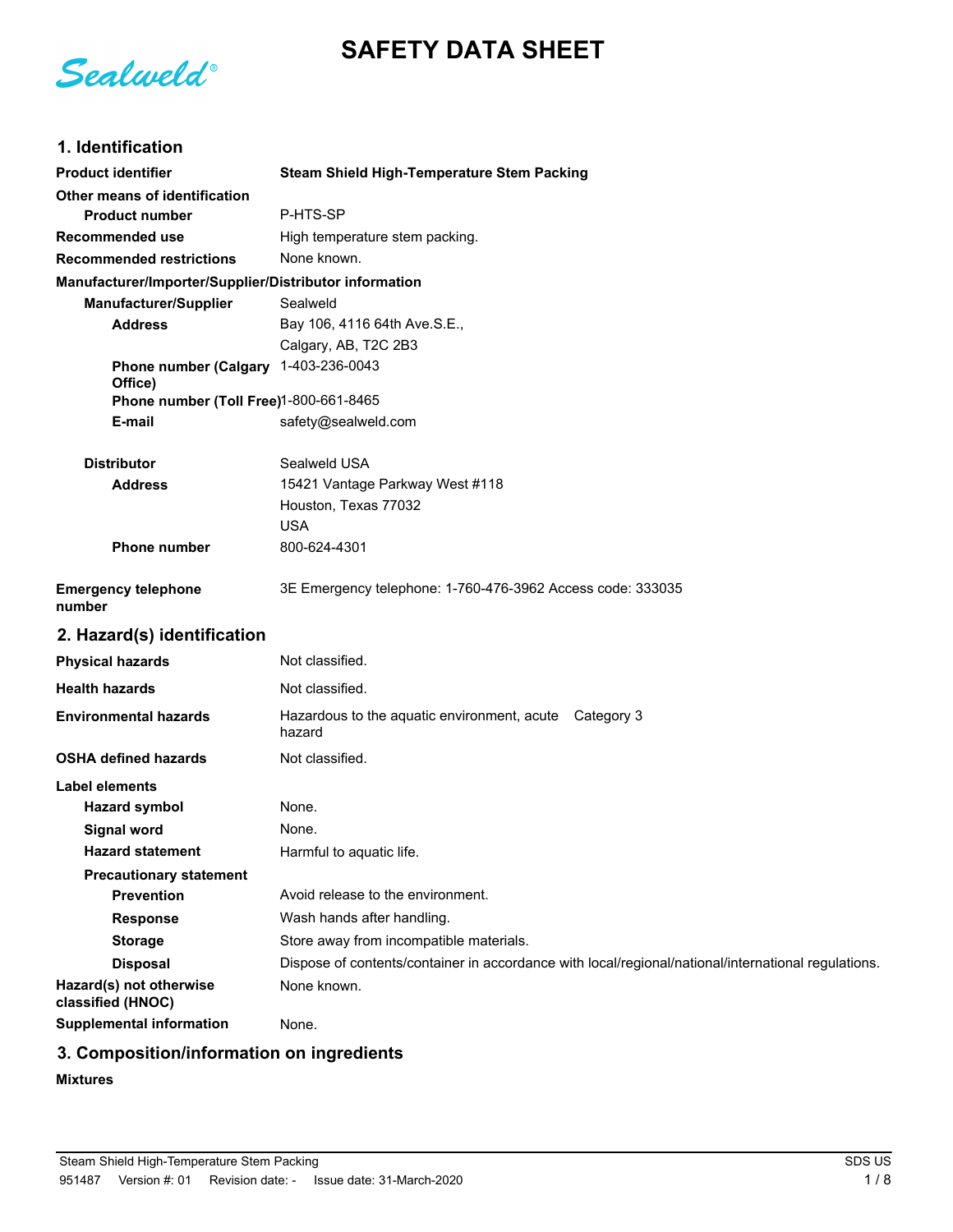# **SAFETY DATA SHEET**

Sealweld®

# **1. Identification**

| <b>Product identifier</b>                              | <b>Steam Shield High-Temperature Stem Packing</b>                                                   |
|--------------------------------------------------------|-----------------------------------------------------------------------------------------------------|
| Other means of identification                          |                                                                                                     |
| <b>Product number</b>                                  | P-HTS-SP                                                                                            |
| <b>Recommended use</b>                                 | High temperature stem packing.                                                                      |
| <b>Recommended restrictions</b>                        | None known.                                                                                         |
| Manufacturer/Importer/Supplier/Distributor information |                                                                                                     |
| Manufacturer/Supplier                                  | Sealweld                                                                                            |
| <b>Address</b>                                         | Bay 106, 4116 64th Ave.S.E.,                                                                        |
|                                                        | Calgary, AB, T2C 2B3                                                                                |
| <b>Phone number (Calgary</b><br>Office)                | 1-403-236-0043                                                                                      |
| Phone number (Toll Free)1-800-661-8465                 |                                                                                                     |
| E-mail                                                 | safety@sealweld.com                                                                                 |
| <b>Distributor</b>                                     | Sealweld USA                                                                                        |
| <b>Address</b>                                         | 15421 Vantage Parkway West #118                                                                     |
|                                                        | Houston, Texas 77032                                                                                |
|                                                        | <b>USA</b>                                                                                          |
| <b>Phone number</b>                                    | 800-624-4301                                                                                        |
| <b>Emergency telephone</b><br>number                   | 3E Emergency telephone: 1-760-476-3962 Access code: 333035                                          |
| 2. Hazard(s) identification                            |                                                                                                     |
| <b>Physical hazards</b>                                | Not classified.                                                                                     |
| <b>Health hazards</b>                                  | Not classified.                                                                                     |
| <b>Environmental hazards</b>                           | Hazardous to the aquatic environment, acute Category 3<br>hazard                                    |
| <b>OSHA defined hazards</b>                            | Not classified.                                                                                     |
| Label elements                                         |                                                                                                     |
| <b>Hazard symbol</b>                                   | None.                                                                                               |
| <b>Signal word</b>                                     | None.                                                                                               |
| <b>Hazard statement</b>                                | Harmful to aquatic life.                                                                            |
| <b>Precautionary statement</b>                         |                                                                                                     |
| <b>Prevention</b>                                      | Avoid release to the environment.                                                                   |
| <b>Response</b>                                        | Wash hands after handling.                                                                          |
| <b>Storage</b>                                         | Store away from incompatible materials.                                                             |
| <b>Disposal</b>                                        | Dispose of contents/container in accordance with local/regional/national/international regulations. |
| Hazard(s) not otherwise<br>classified (HNOC)           | None known.                                                                                         |
| <b>Supplemental information</b>                        | None.                                                                                               |

# **3. Composition/information on ingredients**

#### **Mixtures**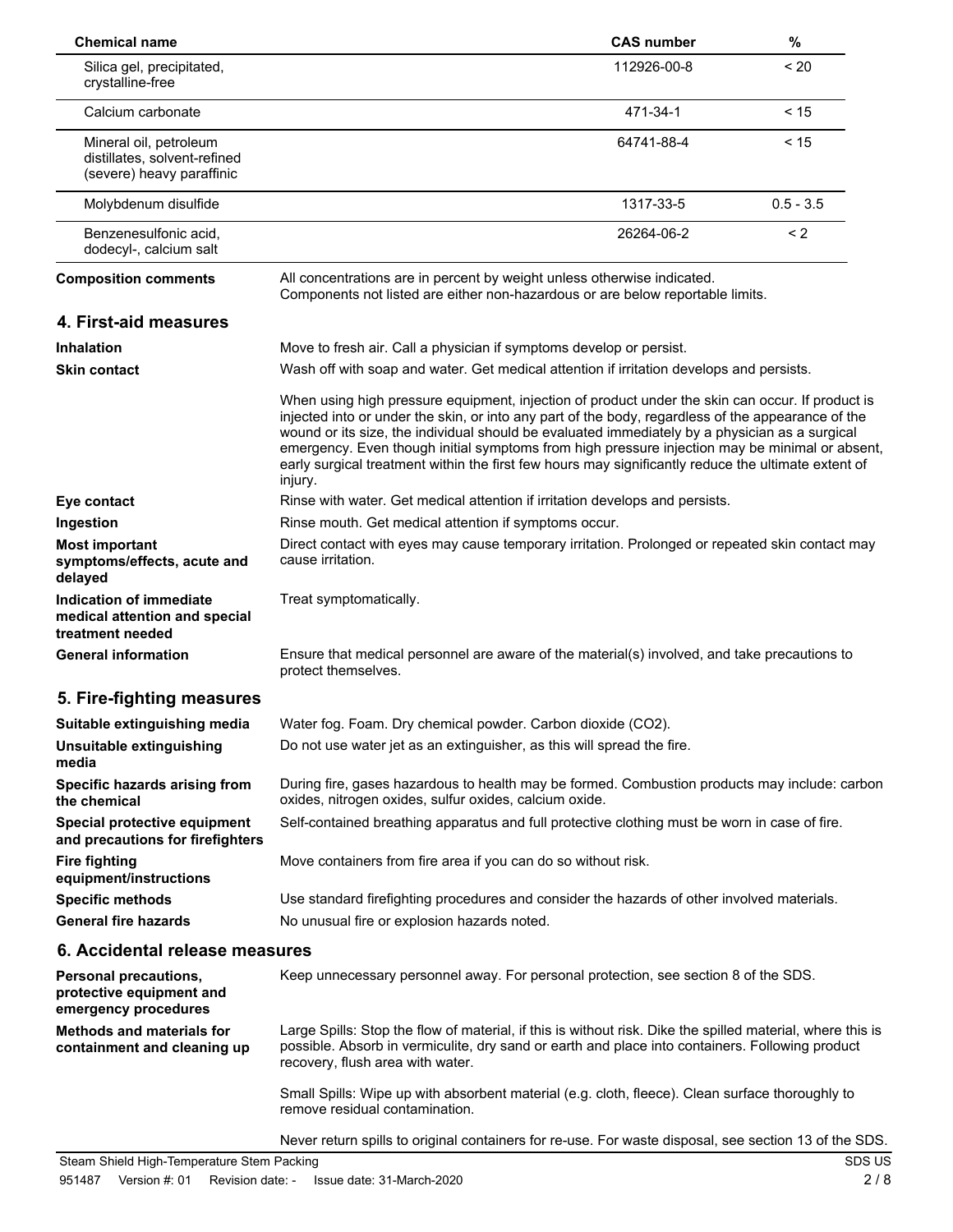| <b>Chemical name</b>                                                                |                                                                                                                                                                                                                                                                                                                                                                                                                                                                                                                              | <b>CAS number</b> | $\%$        |
|-------------------------------------------------------------------------------------|------------------------------------------------------------------------------------------------------------------------------------------------------------------------------------------------------------------------------------------------------------------------------------------------------------------------------------------------------------------------------------------------------------------------------------------------------------------------------------------------------------------------------|-------------------|-------------|
| Silica gel, precipitated,<br>crystalline-free                                       |                                                                                                                                                                                                                                                                                                                                                                                                                                                                                                                              | 112926-00-8       | < 20        |
| Calcium carbonate                                                                   |                                                                                                                                                                                                                                                                                                                                                                                                                                                                                                                              | 471-34-1          | < 15        |
| Mineral oil, petroleum<br>distillates, solvent-refined<br>(severe) heavy paraffinic |                                                                                                                                                                                                                                                                                                                                                                                                                                                                                                                              | 64741-88-4        | < 15        |
| Molybdenum disulfide                                                                |                                                                                                                                                                                                                                                                                                                                                                                                                                                                                                                              | 1317-33-5         | $0.5 - 3.5$ |
| Benzenesulfonic acid,<br>dodecyl-, calcium salt                                     |                                                                                                                                                                                                                                                                                                                                                                                                                                                                                                                              | 26264-06-2        | < 2         |
| <b>Composition comments</b>                                                         | All concentrations are in percent by weight unless otherwise indicated.<br>Components not listed are either non-hazardous or are below reportable limits.                                                                                                                                                                                                                                                                                                                                                                    |                   |             |
| 4. First-aid measures                                                               |                                                                                                                                                                                                                                                                                                                                                                                                                                                                                                                              |                   |             |
| <b>Inhalation</b>                                                                   | Move to fresh air. Call a physician if symptoms develop or persist.                                                                                                                                                                                                                                                                                                                                                                                                                                                          |                   |             |
| <b>Skin contact</b>                                                                 | Wash off with soap and water. Get medical attention if irritation develops and persists.                                                                                                                                                                                                                                                                                                                                                                                                                                     |                   |             |
|                                                                                     | When using high pressure equipment, injection of product under the skin can occur. If product is<br>injected into or under the skin, or into any part of the body, regardless of the appearance of the<br>wound or its size, the individual should be evaluated immediately by a physician as a surgical<br>emergency. Even though initial symptoms from high pressure injection may be minimal or absent,<br>early surgical treatment within the first few hours may significantly reduce the ultimate extent of<br>injury. |                   |             |
| Eye contact                                                                         | Rinse with water. Get medical attention if irritation develops and persists.                                                                                                                                                                                                                                                                                                                                                                                                                                                 |                   |             |
| Ingestion                                                                           | Rinse mouth. Get medical attention if symptoms occur.                                                                                                                                                                                                                                                                                                                                                                                                                                                                        |                   |             |
| <b>Most important</b><br>symptoms/effects, acute and<br>delayed                     | Direct contact with eyes may cause temporary irritation. Prolonged or repeated skin contact may<br>cause irritation.                                                                                                                                                                                                                                                                                                                                                                                                         |                   |             |
| Indication of immediate<br>medical attention and special<br>treatment needed        | Treat symptomatically.                                                                                                                                                                                                                                                                                                                                                                                                                                                                                                       |                   |             |
| <b>General information</b>                                                          | Ensure that medical personnel are aware of the material(s) involved, and take precautions to<br>protect themselves.                                                                                                                                                                                                                                                                                                                                                                                                          |                   |             |
| 5. Fire-fighting measures                                                           |                                                                                                                                                                                                                                                                                                                                                                                                                                                                                                                              |                   |             |
| Suitable extinguishing media                                                        | Water fog. Foam. Dry chemical powder. Carbon dioxide (CO2).                                                                                                                                                                                                                                                                                                                                                                                                                                                                  |                   |             |
| Unsuitable extinguishing<br>media                                                   | Do not use water jet as an extinguisher, as this will spread the fire.                                                                                                                                                                                                                                                                                                                                                                                                                                                       |                   |             |
| Specific hazards arising from<br>the chemical                                       | During fire, gases hazardous to health may be formed. Combustion products may include: carbon<br>oxides, nitrogen oxides, sulfur oxides, calcium oxide.                                                                                                                                                                                                                                                                                                                                                                      |                   |             |
| Special protective equipment<br>and precautions for firefighters                    | Self-contained breathing apparatus and full protective clothing must be worn in case of fire.                                                                                                                                                                                                                                                                                                                                                                                                                                |                   |             |
| <b>Fire fighting</b><br>equipment/instructions                                      | Move containers from fire area if you can do so without risk.                                                                                                                                                                                                                                                                                                                                                                                                                                                                |                   |             |
| <b>Specific methods</b>                                                             | Use standard firefighting procedures and consider the hazards of other involved materials.                                                                                                                                                                                                                                                                                                                                                                                                                                   |                   |             |
| <b>General fire hazards</b>                                                         | No unusual fire or explosion hazards noted.                                                                                                                                                                                                                                                                                                                                                                                                                                                                                  |                   |             |
| 6. Accidental release measures                                                      |                                                                                                                                                                                                                                                                                                                                                                                                                                                                                                                              |                   |             |
| Personal precautions,<br>protective equipment and<br>emergency procedures           | Keep unnecessary personnel away. For personal protection, see section 8 of the SDS.                                                                                                                                                                                                                                                                                                                                                                                                                                          |                   |             |
| <b>Methods and materials for</b><br>containment and cleaning up                     | Large Spills: Stop the flow of material, if this is without risk. Dike the spilled material, where this is<br>possible. Absorb in vermiculite, dry sand or earth and place into containers. Following product<br>recovery, flush area with water.                                                                                                                                                                                                                                                                            |                   |             |
|                                                                                     | Small Spills: Wipe up with absorbent material (e.g. cloth, fleece). Clean surface thoroughly to<br>remove residual contamination.                                                                                                                                                                                                                                                                                                                                                                                            |                   |             |
|                                                                                     | Never return spills to original containers for re-use. For waste disposal, see section 13 of the SDS.                                                                                                                                                                                                                                                                                                                                                                                                                        |                   |             |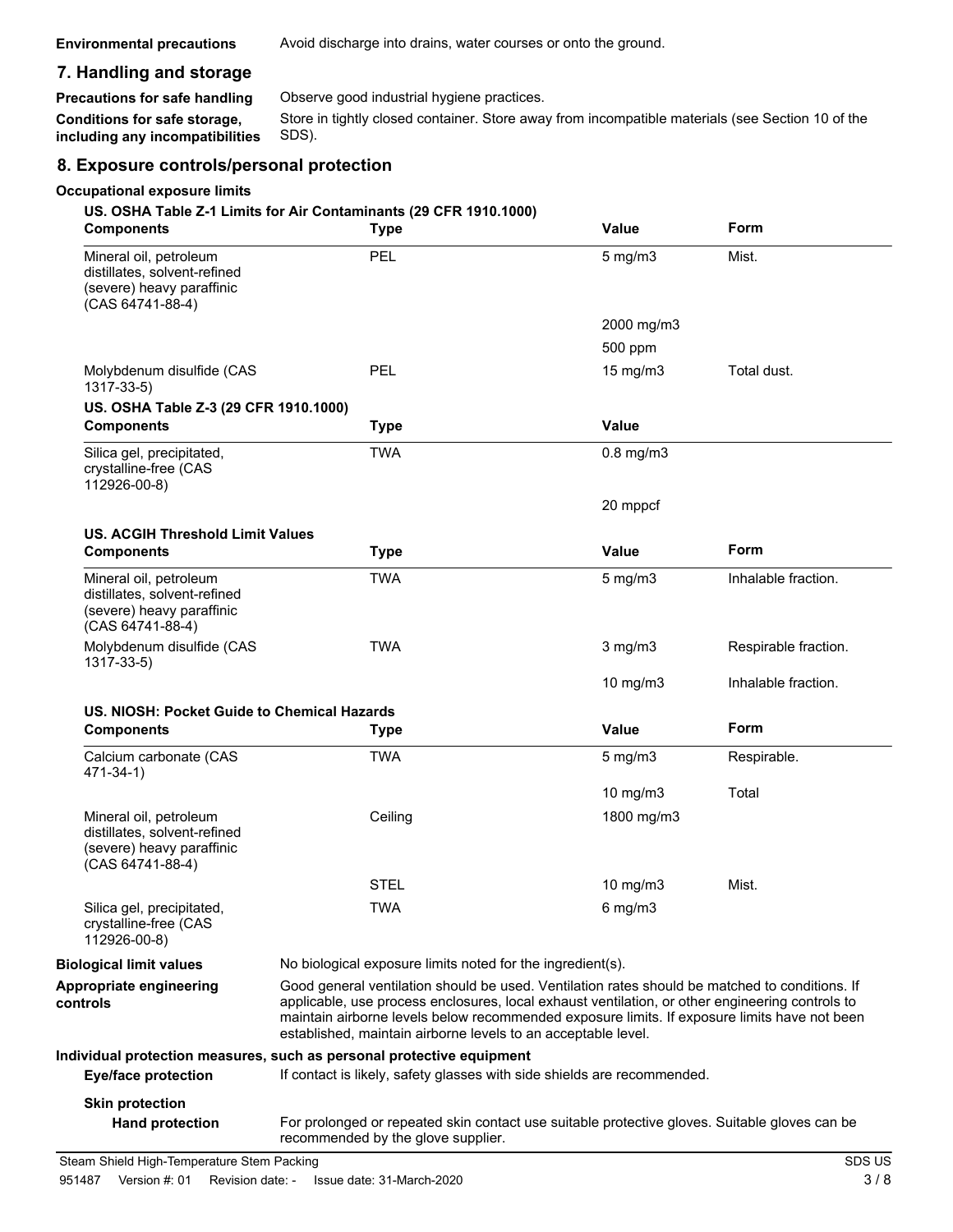### **7. Handling and storage**

**Precautions for safe handling** Observe good industrial hygiene practices.

Store in tightly closed container. Store away from incompatible materials (see Section 10 of the SDS). **Conditions for safe storage, including any incompatibilities**

#### **8. Exposure controls/personal protection**

#### **Occupational exposure limits**

#### **US. OSHA Table Z-1 Limits for Air Contaminants (29 CFR 1910.1000)**

| <b>Components</b>                                                                                       | <b>Type</b>                                                                                                                                                                                                                                                                                                                                                        | Value             | Form                 |
|---------------------------------------------------------------------------------------------------------|--------------------------------------------------------------------------------------------------------------------------------------------------------------------------------------------------------------------------------------------------------------------------------------------------------------------------------------------------------------------|-------------------|----------------------|
| Mineral oil, petroleum<br>distillates, solvent-refined<br>(severe) heavy paraffinic<br>(CAS 64741-88-4) | PEL                                                                                                                                                                                                                                                                                                                                                                | $5$ mg/m $3$      | Mist.                |
|                                                                                                         |                                                                                                                                                                                                                                                                                                                                                                    | 2000 mg/m3        |                      |
|                                                                                                         |                                                                                                                                                                                                                                                                                                                                                                    | 500 ppm           |                      |
| Molybdenum disulfide (CAS<br>$1317 - 33 - 5$                                                            | PEL                                                                                                                                                                                                                                                                                                                                                                | $15 \text{ mg/m}$ | Total dust.          |
| US. OSHA Table Z-3 (29 CFR 1910.1000)                                                                   |                                                                                                                                                                                                                                                                                                                                                                    |                   |                      |
| <b>Components</b>                                                                                       | <b>Type</b>                                                                                                                                                                                                                                                                                                                                                        | <b>Value</b>      |                      |
| Silica gel, precipitated,<br>crystalline-free (CAS<br>112926-00-8)                                      | <b>TWA</b>                                                                                                                                                                                                                                                                                                                                                         | $0.8$ mg/m $3$    |                      |
|                                                                                                         |                                                                                                                                                                                                                                                                                                                                                                    | 20 mppcf          |                      |
| <b>US. ACGIH Threshold Limit Values</b>                                                                 |                                                                                                                                                                                                                                                                                                                                                                    |                   |                      |
| <b>Components</b>                                                                                       | <b>Type</b>                                                                                                                                                                                                                                                                                                                                                        | Value             | Form                 |
| Mineral oil, petroleum<br>distillates, solvent-refined<br>(severe) heavy paraffinic<br>(CAS 64741-88-4) | <b>TWA</b>                                                                                                                                                                                                                                                                                                                                                         | $5 \text{ mg/m}$  | Inhalable fraction.  |
| Molybdenum disulfide (CAS<br>$1317 - 33 - 5$                                                            | <b>TWA</b>                                                                                                                                                                                                                                                                                                                                                         | $3$ mg/m $3$      | Respirable fraction. |
|                                                                                                         |                                                                                                                                                                                                                                                                                                                                                                    | 10 $mg/m3$        | Inhalable fraction.  |
| US. NIOSH: Pocket Guide to Chemical Hazards                                                             |                                                                                                                                                                                                                                                                                                                                                                    |                   |                      |
| <b>Components</b>                                                                                       | <b>Type</b>                                                                                                                                                                                                                                                                                                                                                        | <b>Value</b>      | Form                 |
| Calcium carbonate (CAS<br>471-34-1)                                                                     | <b>TWA</b>                                                                                                                                                                                                                                                                                                                                                         | $5$ mg/m $3$      | Respirable.          |
|                                                                                                         |                                                                                                                                                                                                                                                                                                                                                                    | 10 mg/m3          | Total                |
| Mineral oil, petroleum<br>distillates, solvent-refined<br>(severe) heavy paraffinic<br>(CAS 64741-88-4) | Ceiling                                                                                                                                                                                                                                                                                                                                                            | 1800 mg/m3        |                      |
|                                                                                                         | <b>STEL</b>                                                                                                                                                                                                                                                                                                                                                        | 10 $mg/m3$        | Mist.                |
| Silica gel, precipitated,<br>crystalline-free (CAS<br>112926-00-8)                                      | <b>TWA</b>                                                                                                                                                                                                                                                                                                                                                         | $6$ mg/m $3$      |                      |
| <b>Biological limit values</b>                                                                          | No biological exposure limits noted for the ingredient(s).                                                                                                                                                                                                                                                                                                         |                   |                      |
| Appropriate engineering<br>controls                                                                     | Good general ventilation should be used. Ventilation rates should be matched to conditions. If<br>applicable, use process enclosures, local exhaust ventilation, or other engineering controls to<br>maintain airborne levels below recommended exposure limits. If exposure limits have not been<br>established, maintain airborne levels to an acceptable level. |                   |                      |
| <b>Eye/face protection</b>                                                                              | Individual protection measures, such as personal protective equipment<br>If contact is likely, safety glasses with side shields are recommended.                                                                                                                                                                                                                   |                   |                      |
|                                                                                                         |                                                                                                                                                                                                                                                                                                                                                                    |                   |                      |
| <b>Skin protection</b><br><b>Hand protection</b>                                                        |                                                                                                                                                                                                                                                                                                                                                                    |                   |                      |
|                                                                                                         | For prolonged or repeated skin contact use suitable protective gloves. Suitable gloves can be<br>recommended by the glove supplier.                                                                                                                                                                                                                                |                   |                      |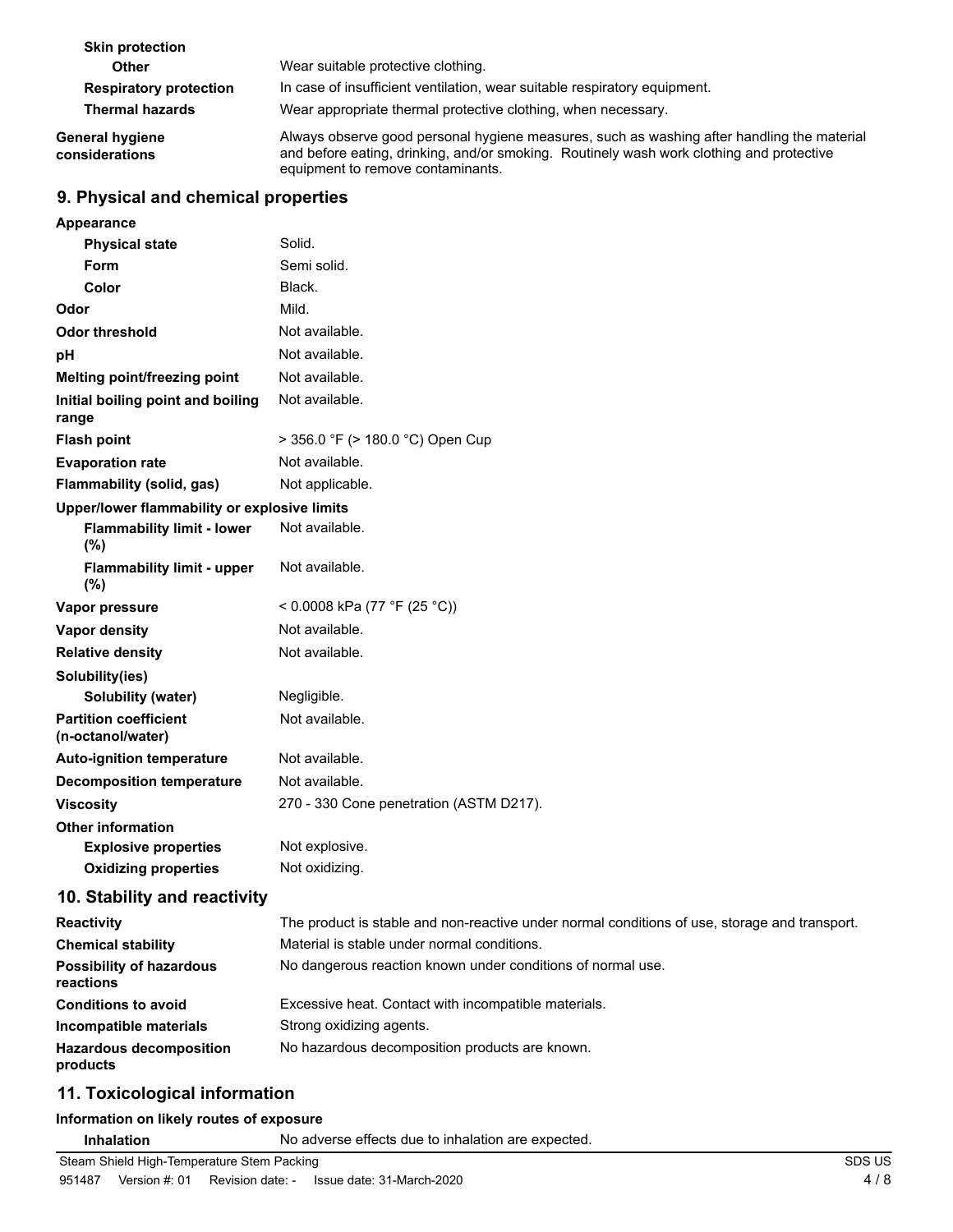| <b>Skin protection</b>            |                                                                                                                                                                                                                             |
|-----------------------------------|-----------------------------------------------------------------------------------------------------------------------------------------------------------------------------------------------------------------------------|
| <b>Other</b>                      | Wear suitable protective clothing.                                                                                                                                                                                          |
| <b>Respiratory protection</b>     | In case of insufficient ventilation, wear suitable respiratory equipment.                                                                                                                                                   |
| <b>Thermal hazards</b>            | Wear appropriate thermal protective clothing, when necessary.                                                                                                                                                               |
| General hygiene<br>considerations | Always observe good personal hygiene measures, such as washing after handling the material<br>and before eating, drinking, and/or smoking. Routinely wash work clothing and protective<br>equipment to remove contaminants. |

### **9. Physical and chemical properties**

| Appearance                                        |                                                                                               |
|---------------------------------------------------|-----------------------------------------------------------------------------------------------|
| <b>Physical state</b>                             | Solid.                                                                                        |
| Form                                              | Semi solid.                                                                                   |
| Color                                             | Black.                                                                                        |
| Odor                                              | Mild.                                                                                         |
| <b>Odor threshold</b>                             | Not available.                                                                                |
| pH                                                | Not available.                                                                                |
| Melting point/freezing point                      | Not available.                                                                                |
| Initial boiling point and boiling<br>range        | Not available.                                                                                |
| <b>Flash point</b>                                | > 356.0 °F (> 180.0 °C) Open Cup                                                              |
| <b>Evaporation rate</b>                           | Not available.                                                                                |
| Flammability (solid, gas)                         | Not applicable.                                                                               |
| Upper/lower flammability or explosive limits      |                                                                                               |
| <b>Flammability limit - lower</b><br>(%)          | Not available.                                                                                |
| <b>Flammability limit - upper</b><br>(%)          | Not available.                                                                                |
| Vapor pressure                                    | < 0.0008 kPa (77 °F (25 °C))                                                                  |
| Vapor density                                     | Not available.                                                                                |
| <b>Relative density</b>                           | Not available.                                                                                |
| Solubility(ies)                                   |                                                                                               |
| Solubility (water)                                | Negligible.                                                                                   |
| <b>Partition coefficient</b><br>(n-octanol/water) | Not available.                                                                                |
| <b>Auto-ignition temperature</b>                  | Not available.                                                                                |
| <b>Decomposition temperature</b>                  | Not available.                                                                                |
| <b>Viscosity</b>                                  | 270 - 330 Cone penetration (ASTM D217).                                                       |
| <b>Other information</b>                          |                                                                                               |
| <b>Explosive properties</b>                       | Not explosive.                                                                                |
| <b>Oxidizing properties</b>                       | Not oxidizing.                                                                                |
| 10. Stability and reactivity                      |                                                                                               |
| <b>Reactivity</b>                                 | The product is stable and non-reactive under normal conditions of use, storage and transport. |
| <b>Chemical stability</b>                         | Material is stable under normal conditions.                                                   |
| <b>Possibility of hazardous</b><br>reactions      | No dangerous reaction known under conditions of normal use.                                   |
| <b>Conditions to avoid</b>                        | Excessive heat. Contact with incompatible materials.                                          |
| Incompatible materials                            | Strong oxidizing agents.                                                                      |
| <b>Hazardous decomposition</b><br>products        | No hazardous decomposition products are known.                                                |
|                                                   |                                                                                               |

### **11. Toxicological information**

#### **Information on likely routes of exposure**

**Inhalation** No adverse effects due to inhalation are expected.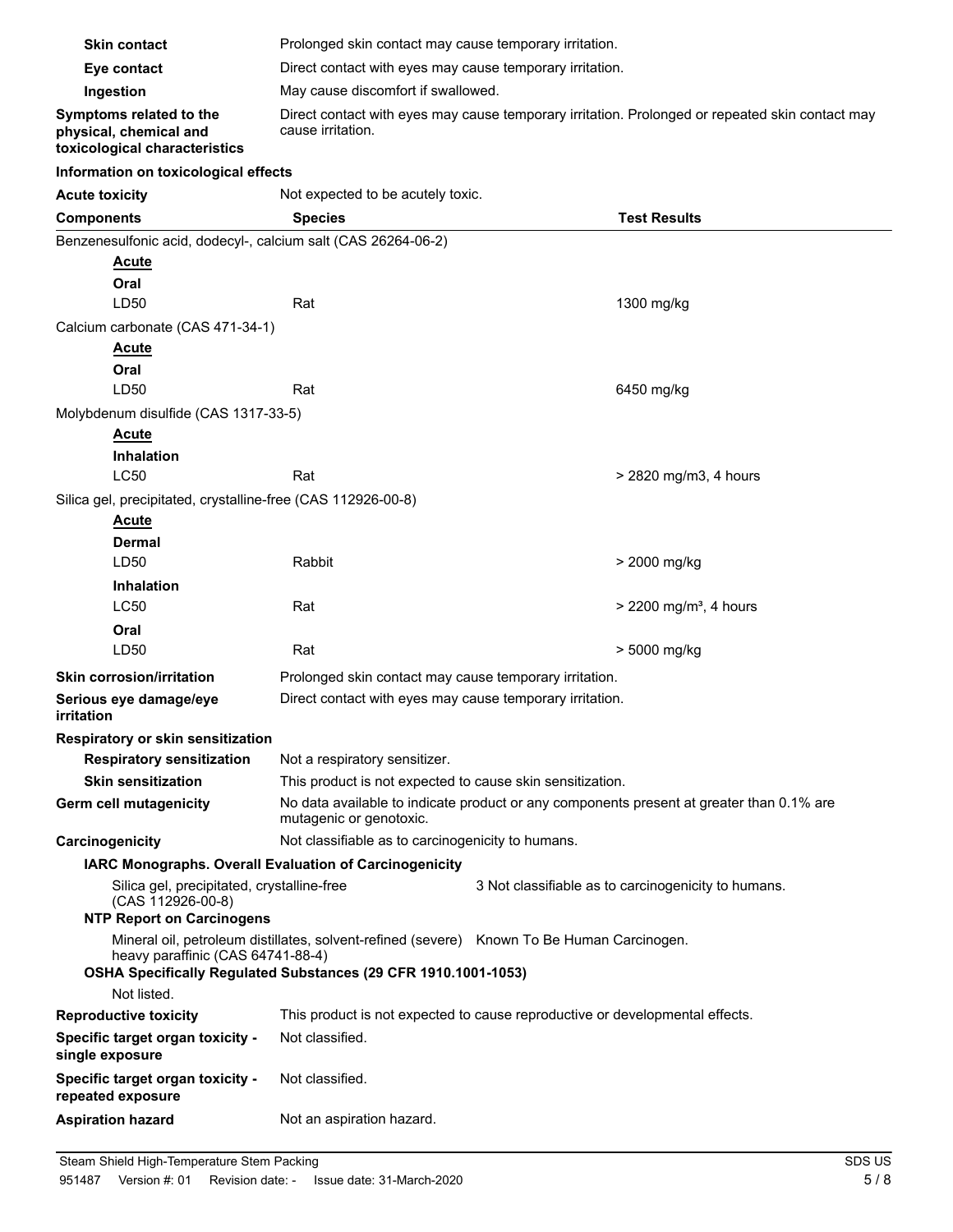| <b>Skin contact</b>                                                                | Prolonged skin contact may cause temporary irritation.                                                                                                       |  |                                                                                          |  |
|------------------------------------------------------------------------------------|--------------------------------------------------------------------------------------------------------------------------------------------------------------|--|------------------------------------------------------------------------------------------|--|
| Eye contact                                                                        | Direct contact with eyes may cause temporary irritation.                                                                                                     |  |                                                                                          |  |
| Ingestion                                                                          | May cause discomfort if swallowed.                                                                                                                           |  |                                                                                          |  |
| Symptoms related to the<br>physical, chemical and<br>toxicological characteristics | Direct contact with eyes may cause temporary irritation. Prolonged or repeated skin contact may<br>cause irritation.                                         |  |                                                                                          |  |
| Information on toxicological effects                                               |                                                                                                                                                              |  |                                                                                          |  |
| <b>Acute toxicity</b>                                                              | Not expected to be acutely toxic.                                                                                                                            |  |                                                                                          |  |
| <b>Components</b>                                                                  | <b>Species</b>                                                                                                                                               |  | <b>Test Results</b>                                                                      |  |
| Benzenesulfonic acid, dodecyl-, calcium salt (CAS 26264-06-2)                      |                                                                                                                                                              |  |                                                                                          |  |
| <u>Acute</u><br>Oral<br>LD50                                                       | Rat                                                                                                                                                          |  | 1300 mg/kg                                                                               |  |
| Calcium carbonate (CAS 471-34-1)                                                   |                                                                                                                                                              |  |                                                                                          |  |
| Acute<br>Oral                                                                      |                                                                                                                                                              |  |                                                                                          |  |
| LD50                                                                               | Rat                                                                                                                                                          |  | 6450 mg/kg                                                                               |  |
| Molybdenum disulfide (CAS 1317-33-5)                                               |                                                                                                                                                              |  |                                                                                          |  |
| <b>Acute</b>                                                                       |                                                                                                                                                              |  |                                                                                          |  |
| <b>Inhalation</b><br><b>LC50</b>                                                   | Rat                                                                                                                                                          |  | > 2820 mg/m3, 4 hours                                                                    |  |
| Silica gel, precipitated, crystalline-free (CAS 112926-00-8)                       |                                                                                                                                                              |  |                                                                                          |  |
| <b>Acute</b>                                                                       |                                                                                                                                                              |  |                                                                                          |  |
| Dermal                                                                             |                                                                                                                                                              |  |                                                                                          |  |
| LD50                                                                               | Rabbit                                                                                                                                                       |  | > 2000 mg/kg                                                                             |  |
| <b>Inhalation</b>                                                                  |                                                                                                                                                              |  |                                                                                          |  |
| <b>LC50</b>                                                                        | Rat                                                                                                                                                          |  | $>$ 2200 mg/m <sup>3</sup> , 4 hours                                                     |  |
| Oral                                                                               |                                                                                                                                                              |  |                                                                                          |  |
| LD50                                                                               | Rat                                                                                                                                                          |  | > 5000 mg/kg                                                                             |  |
| <b>Skin corrosion/irritation</b>                                                   | Prolonged skin contact may cause temporary irritation.                                                                                                       |  |                                                                                          |  |
| Serious eye damage/eye<br>irritation                                               | Direct contact with eyes may cause temporary irritation.                                                                                                     |  |                                                                                          |  |
| Respiratory or skin sensitization                                                  |                                                                                                                                                              |  |                                                                                          |  |
| <b>Respiratory sensitization</b>                                                   | Not a respiratory sensitizer.                                                                                                                                |  |                                                                                          |  |
| <b>Skin sensitization</b>                                                          | This product is not expected to cause skin sensitization.                                                                                                    |  |                                                                                          |  |
| Germ cell mutagenicity                                                             | mutagenic or genotoxic.                                                                                                                                      |  | No data available to indicate product or any components present at greater than 0.1% are |  |
| Carcinogenicity                                                                    | Not classifiable as to carcinogenicity to humans.                                                                                                            |  |                                                                                          |  |
|                                                                                    | IARC Monographs. Overall Evaluation of Carcinogenicity                                                                                                       |  |                                                                                          |  |
| (CAS 112926-00-8)<br><b>NTP Report on Carcinogens</b>                              | Silica gel, precipitated, crystalline-free<br>3 Not classifiable as to carcinogenicity to humans.                                                            |  |                                                                                          |  |
| heavy paraffinic (CAS 64741-88-4)                                                  | Mineral oil, petroleum distillates, solvent-refined (severe) Known To Be Human Carcinogen.<br>OSHA Specifically Regulated Substances (29 CFR 1910.1001-1053) |  |                                                                                          |  |
| Not listed.                                                                        |                                                                                                                                                              |  |                                                                                          |  |
| <b>Reproductive toxicity</b>                                                       | This product is not expected to cause reproductive or developmental effects.                                                                                 |  |                                                                                          |  |
| Specific target organ toxicity -<br>single exposure                                | Not classified.                                                                                                                                              |  |                                                                                          |  |
| Specific target organ toxicity -<br>repeated exposure                              | Not classified.                                                                                                                                              |  |                                                                                          |  |
| <b>Aspiration hazard</b>                                                           | Not an aspiration hazard.                                                                                                                                    |  |                                                                                          |  |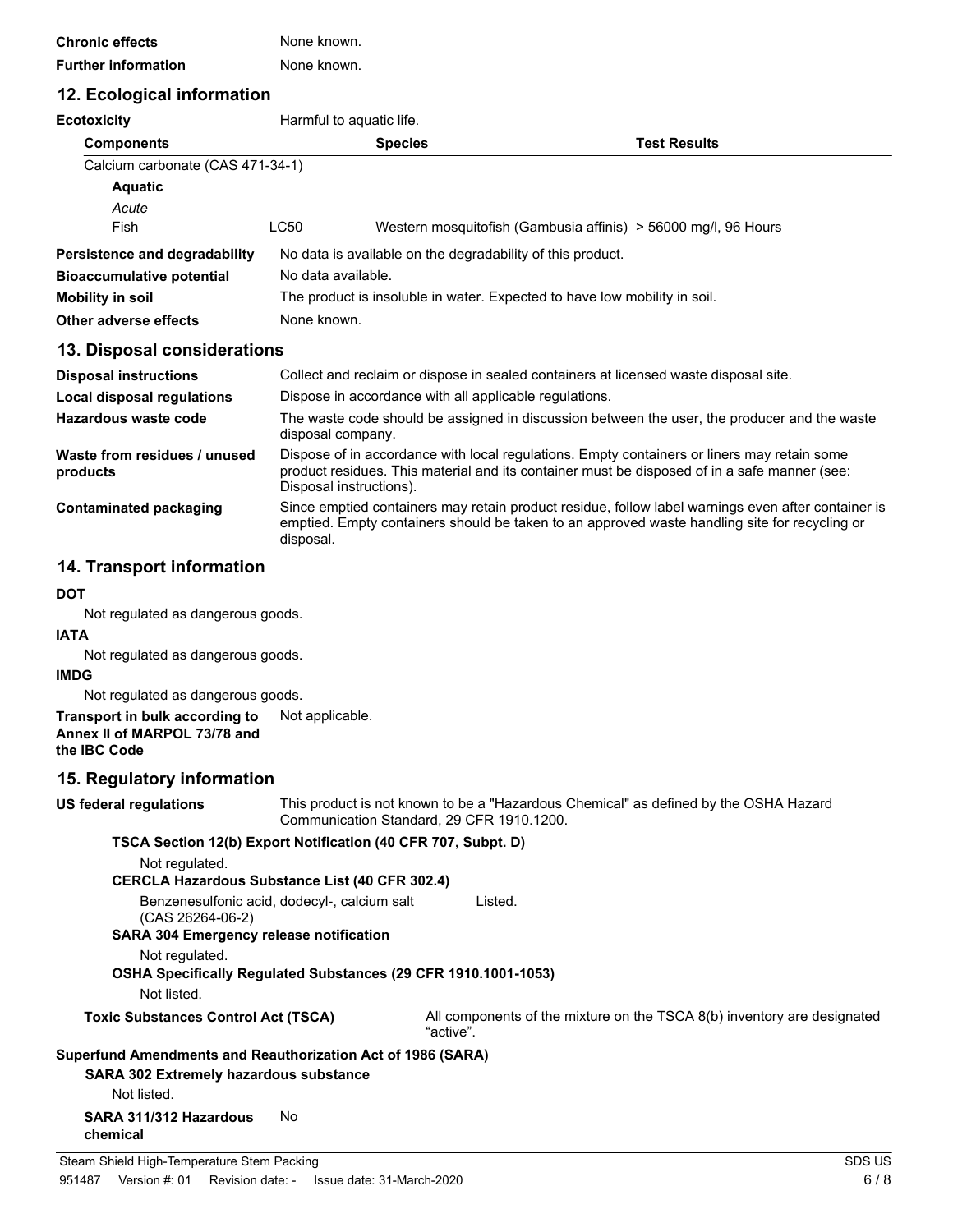| <b>Chronic effects</b>     | None known. |
|----------------------------|-------------|
| <b>Further information</b> | None known. |

# **12. Ecological information**

| <b>IZ. EUVIUYIUAI IIIIUIIIIAUUII</b>     |                                                                                                                   |                    |                                                                                                                                                                                             |  |
|------------------------------------------|-------------------------------------------------------------------------------------------------------------------|--------------------|---------------------------------------------------------------------------------------------------------------------------------------------------------------------------------------------|--|
| <b>Ecotoxicity</b>                       | Harmful to aquatic life.                                                                                          |                    |                                                                                                                                                                                             |  |
| <b>Components</b>                        |                                                                                                                   | <b>Species</b>     | <b>Test Results</b>                                                                                                                                                                         |  |
| Calcium carbonate (CAS 471-34-1)         |                                                                                                                   |                    |                                                                                                                                                                                             |  |
| <b>Aquatic</b>                           |                                                                                                                   |                    |                                                                                                                                                                                             |  |
| Acute                                    |                                                                                                                   |                    |                                                                                                                                                                                             |  |
| Fish                                     | LC50                                                                                                              |                    | Western mosquitofish (Gambusia affinis) > 56000 mg/l, 96 Hours                                                                                                                              |  |
| Persistence and degradability            | No data is available on the degradability of this product.                                                        |                    |                                                                                                                                                                                             |  |
| <b>Bioaccumulative potential</b>         |                                                                                                                   | No data available. |                                                                                                                                                                                             |  |
| <b>Mobility in soil</b>                  | The product is insoluble in water. Expected to have low mobility in soil.                                         |                    |                                                                                                                                                                                             |  |
| Other adverse effects                    | None known.                                                                                                       |                    |                                                                                                                                                                                             |  |
| 13. Disposal considerations              |                                                                                                                   |                    |                                                                                                                                                                                             |  |
| <b>Disposal instructions</b>             | Collect and reclaim or dispose in sealed containers at licensed waste disposal site.                              |                    |                                                                                                                                                                                             |  |
| Local disposal regulations               | Dispose in accordance with all applicable regulations.                                                            |                    |                                                                                                                                                                                             |  |
| Hazardous waste code                     | The waste code should be assigned in discussion between the user, the producer and the waste<br>disposal company. |                    |                                                                                                                                                                                             |  |
| Waste from residues / unused<br>products | Disposal instructions).                                                                                           |                    | Dispose of in accordance with local regulations. Empty containers or liners may retain some<br>product residues. This material and its container must be disposed of in a safe manner (see: |  |
| Contaminated packaging                   |                                                                                                                   |                    | Since emptied containers may retain product residue, follow label warnings even after container is                                                                                          |  |

#### **14. Transport information**

#### **DOT**

Not regulated as dangerous goods.

#### **IATA**

Not regulated as dangerous goods.

#### **IMDG**

Not regulated as dangerous goods.

#### **Transport in bulk according to** Not applicable. **Annex II of MARPOL 73/78 and the IBC Code**

### **15. Regulatory information**

**US federal regulations**

This product is not known to be a "Hazardous Chemical" as defined by the OSHA Hazard Communication Standard, 29 CFR 1910.1200.

emptied. Empty containers should be taken to an approved waste handling site for recycling or

#### **TSCA Section 12(b) Export Notification (40 CFR 707, Subpt. D)**

disposal.

Not regulated.

Benzenesulfonic acid, dodecyl-, calcium salt (CAS 26264-06-2) Listed. **SARA 304 Emergency release notification** Not regulated.

**OSHA Specifically Regulated Substances (29 CFR 1910.1001-1053)**

Not listed.

**Toxic Substances Control Act (TSCA)** All components of the mixture on the TSCA 8(b) inventory are designated "active".

# **Superfund Amendments and Reauthorization Act of 1986 (SARA)**

**SARA 302 Extremely hazardous substance** Not listed.

**SARA 311/312 Hazardous** No **chemical**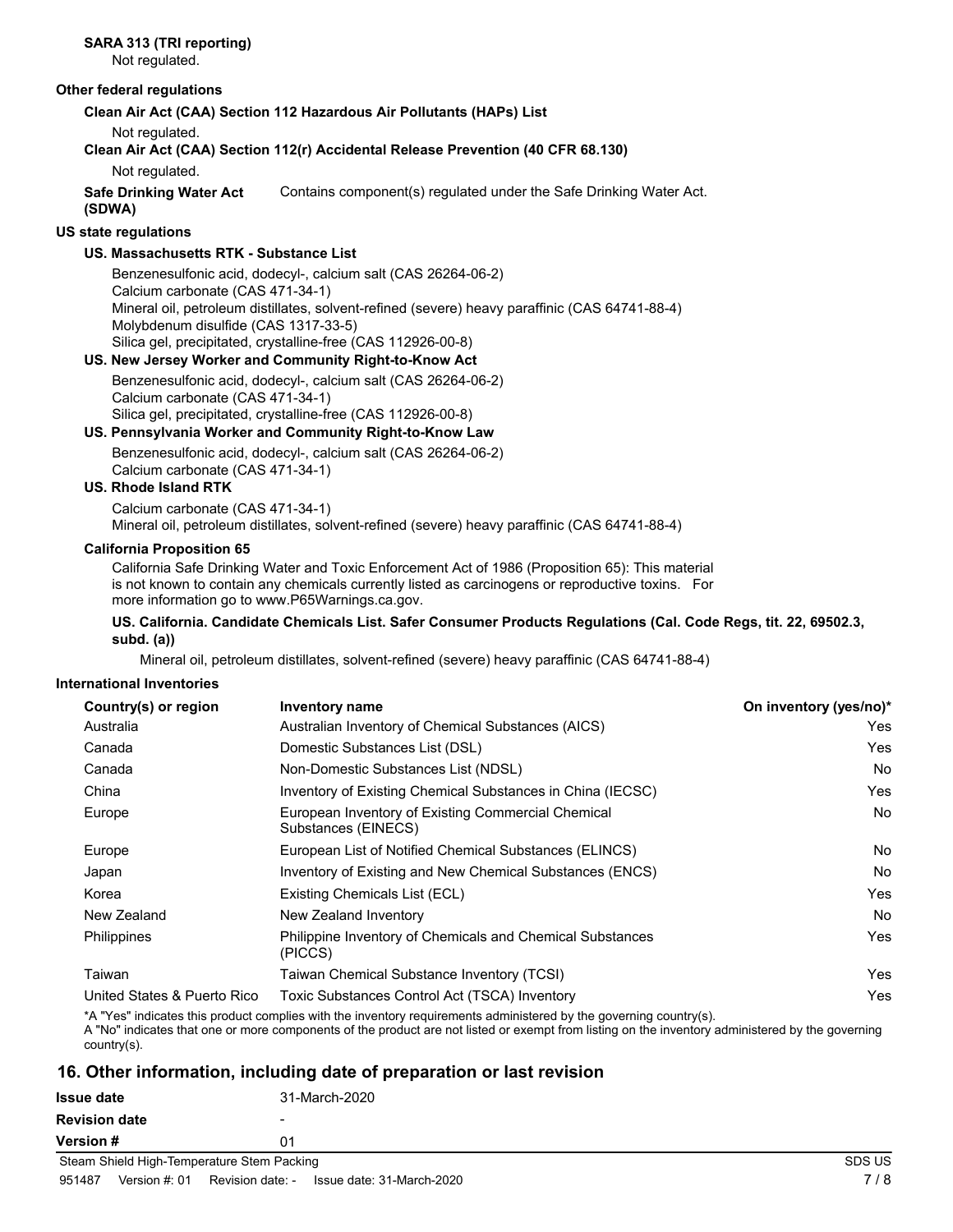Not regulated.

#### **Other federal regulations**

**Clean Air Act (CAA) Section 112 Hazardous Air Pollutants (HAPs) List**

Not regulated.

# **Clean Air Act (CAA) Section 112(r) Accidental Release Prevention (40 CFR 68.130)**

Not regulated.

**Safe Drinking Water Act** Contains component(s) regulated under the Safe Drinking Water Act. **(SDWA)**

### **US state regulations**

### **US. Massachusetts RTK - Substance List**

Benzenesulfonic acid, dodecyl-, calcium salt (CAS 26264-06-2) Calcium carbonate (CAS 471-34-1) Mineral oil, petroleum distillates, solvent-refined (severe) heavy paraffinic (CAS 64741-88-4) Molybdenum disulfide (CAS 1317-33-5) Silica gel, precipitated, crystalline-free (CAS 112926-00-8)

### **US. New Jersey Worker and Community Right-to-Know Act**

Benzenesulfonic acid, dodecyl-, calcium salt (CAS 26264-06-2) Calcium carbonate (CAS 471-34-1) Silica gel, precipitated, crystalline-free (CAS 112926-00-8)

# **US. Pennsylvania Worker and Community Right-to-Know Law**

Benzenesulfonic acid, dodecyl-, calcium salt (CAS 26264-06-2) Calcium carbonate (CAS 471-34-1)

### **US. Rhode Island RTK**

Calcium carbonate (CAS 471-34-1) Mineral oil, petroleum distillates, solvent-refined (severe) heavy paraffinic (CAS 64741-88-4)

#### **California Proposition 65**

California Safe Drinking Water and Toxic Enforcement Act of 1986 (Proposition 65): This material is not known to contain any chemicals currently listed as carcinogens or reproductive toxins. For more information go to www.P65Warnings.ca.gov.

#### **US. California. Candidate Chemicals List. Safer Consumer Products Regulations (Cal. Code Regs, tit. 22, 69502.3, subd. (a))**

Mineral oil, petroleum distillates, solvent-refined (severe) heavy paraffinic (CAS 64741-88-4)

### **International Inventories**

| Country(s) or region        | <b>Inventory name</b>                                                       | On inventory (yes/no)* |
|-----------------------------|-----------------------------------------------------------------------------|------------------------|
| Australia                   | Australian Inventory of Chemical Substances (AICS)                          | Yes.                   |
| Canada                      | Domestic Substances List (DSL)                                              | Yes                    |
| Canada                      | Non-Domestic Substances List (NDSL)                                         | No                     |
| China                       | Inventory of Existing Chemical Substances in China (IECSC)                  | Yes                    |
| Europe                      | European Inventory of Existing Commercial Chemical<br>Substances (EINECS)   | No                     |
| Europe                      | European List of Notified Chemical Substances (ELINCS)                      | No.                    |
| Japan                       | Inventory of Existing and New Chemical Substances (ENCS)                    | No.                    |
| Korea                       | Existing Chemicals List (ECL)                                               | Yes                    |
| New Zealand                 | New Zealand Inventory                                                       | No                     |
| Philippines                 | <b>Philippine Inventory of Chemicals and Chemical Substances</b><br>(PICCS) | Yes.                   |
| Taiwan                      | Taiwan Chemical Substance Inventory (TCSI)                                  | Yes                    |
| United States & Puerto Rico | Toxic Substances Control Act (TSCA) Inventory                               | Yes                    |

\*A "Yes" indicates this product complies with the inventory requirements administered by the governing country(s).

A "No" indicates that one or more components of the product are not listed or exempt from listing on the inventory administered by the governing country(s).

# **16. Other information, including date of preparation or last revision**

| Issue date                                 | 31-March-2020            |        |
|--------------------------------------------|--------------------------|--------|
| <b>Revision date</b>                       | $\overline{\phantom{0}}$ |        |
| Version #                                  | 01                       |        |
| Steam Shield High-Temperature Stem Packing |                          | SDS US |